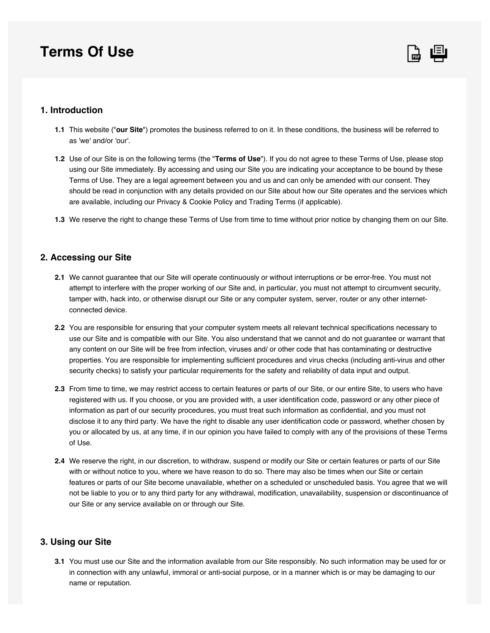# **Terms Of Use**



## **1. Introduction**

- This website ("**our Site**") promotes the business referred to on it. In these conditions, the business will be referred to **1.1** as 'we' and/or 'our'.
- **1.2** Use of our Site is on the following terms (the "**Terms of Use**"). If you do not agree to these Terms of Use, please stop using our Site immediately. By accessing and using our Site you are indicating your acceptance to be bound by these Terms of Use. They are a legal agreement between you and us and can only be amended with our consent. They should be read in conjunction with any details provided on our Site about how our Site operates and the services which are available, including our Privacy & Cookie Policy and Trading Terms (if applicable).
- We reserve the right to change these Terms of Use from time to time without prior notice by changing them on our Site. **1.3**

## **2. Accessing our Site**

- We cannot guarantee that our Site will operate continuously or without interruptions or be error-free. You must not **2.1** attempt to interfere with the proper working of our Site and, in particular, you must not attempt to circumvent security, tamper with, hack into, or otherwise disrupt our Site or any computer system, server, router or any other internetconnected device.
- You are responsible for ensuring that your computer system meets all relevant technical specifications necessary to **2.2** use our Site and is compatible with our Site. You also understand that we cannot and do not guarantee or warrant that any content on our Site will be free from infection, viruses and/ or other code that has contaminating or destructive properties. You are responsible for implementing sufficient procedures and virus checks (including anti-virus and other security checks) to satisfy your particular requirements for the safety and reliability of data input and output.
- From time to time, we may restrict access to certain features or parts of our Site, or our entire Site, to users who have **2.3** registered with us. If you choose, or you are provided with, a user identification code, password or any other piece of information as part of our security procedures, you must treat such information as confidential, and you must not disclose it to any third party. We have the right to disable any user identification code or password, whether chosen by you or allocated by us, at any time, if in our opinion you have failed to comply with any of the provisions of these Terms of Use.
- We reserve the right, in our discretion, to withdraw, suspend or modify our Site or certain features or parts of our Site **2.4** with or without notice to you, where we have reason to do so. There may also be times when our Site or certain features or parts of our Site become unavailable, whether on a scheduled or unscheduled basis. You agree that we will not be liable to you or to any third party for any withdrawal, modification, unavailability, suspension or discontinuance of our Site or any service available on or through our Site.

## **3. Using our Site**

**3.1** You must use our Site and the information available from our Site responsibly. No such information may be used for or in connection with any unlawful, immoral or anti-social purpose, or in a manner which is or may be damaging to our name or reputation.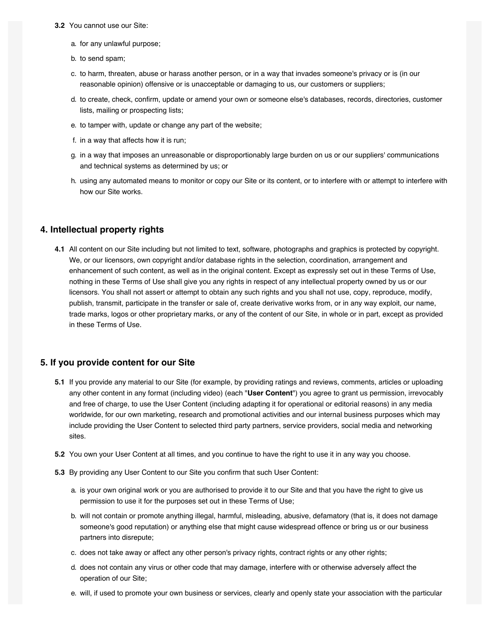#### **3.2** You cannot use our Site:

- a. for any unlawful purpose;
- b. to send spam;
- c. to harm, threaten, abuse or harass another person, or in a way that invades someone's privacy or is (in our reasonable opinion) offensive or is unacceptable or damaging to us, our customers or suppliers;
- d. to create, check, confirm, update or amend your own or someone else's databases, records, directories, customer lists, mailing or prospecting lists;
- e. to tamper with, update or change any part of the website;
- f. in a way that affects how it is run;
- g. in a way that imposes an unreasonable or disproportionably large burden on us or our suppliers' communications and technical systems as determined by us; or
- h. using any automated means to monitor or copy our Site or its content, or to interfere with or attempt to interfere with how our Site works.

#### **4. Intellectual property rights**

All content on our Site including but not limited to text, software, photographs and graphics is protected by copyright. **4.1** We, or our licensors, own copyright and/or database rights in the selection, coordination, arrangement and enhancement of such content, as well as in the original content. Except as expressly set out in these Terms of Use, nothing in these Terms of Use shall give you any rights in respect of any intellectual property owned by us or our licensors. You shall not assert or attempt to obtain any such rights and you shall not use, copy, reproduce, modify, publish, transmit, participate in the transfer or sale of, create derivative works from, or in any way exploit, our name, trade marks, logos or other proprietary marks, or any of the content of our Site, in whole or in part, except as provided in these Terms of Use.

#### **5. If you provide content for our Site**

- **5.1** If you provide any material to our Site (for example, by providing ratings and reviews, comments, articles or uploading any other content in any format (including video) (each "**User Content**") you agree to grant us permission, irrevocably and free of charge, to use the User Content (including adapting it for operational or editorial reasons) in any media worldwide, for our own marketing, research and promotional activities and our internal business purposes which may include providing the User Content to selected third party partners, service providers, social media and networking sites.
- **5.2** You own your User Content at all times, and you continue to have the right to use it in any way you choose.
- By providing any User Content to our Site you confirm that such User Content: **5.3**
	- a. is your own original work or you are authorised to provide it to our Site and that you have the right to give us permission to use it for the purposes set out in these Terms of Use;
	- b. will not contain or promote anything illegal, harmful, misleading, abusive, defamatory (that is, it does not damage someone's good reputation) or anything else that might cause widespread offence or bring us or our business partners into disrepute;
	- c. does not take away or affect any other person's privacy rights, contract rights or any other rights;
	- d. does not contain any virus or other code that may damage, interfere with or otherwise adversely affect the operation of our Site;
	- e. will, if used to promote your own business or services, clearly and openly state your association with the particular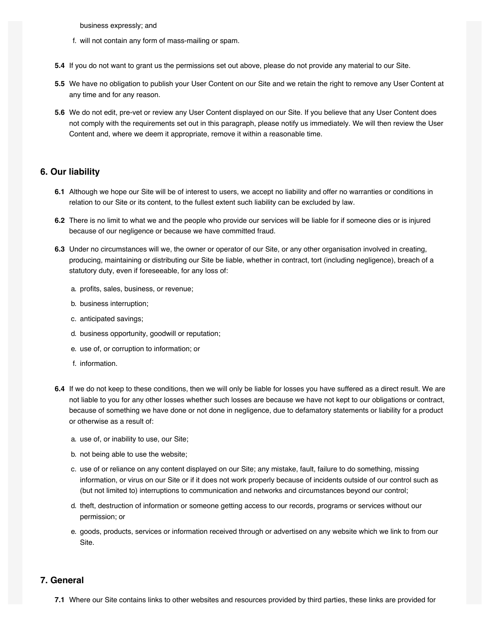business expressly; and

- f. will not contain any form of mass-mailing or spam.
- **5.4** If you do not want to grant us the permissions set out above, please do not provide any material to our Site.
- We have no obligation to publish your User Content on our Site and we retain the right to remove any User Content at **5.5** any time and for any reason.
- We do not edit, pre-vet or review any User Content displayed on our Site. If you believe that any User Content does **5.6** not comply with the requirements set out in this paragraph, please notify us immediately. We will then review the User Content and, where we deem it appropriate, remove it within a reasonable time.

## **6. Our liability**

- Although we hope our Site will be of interest to users, we accept no liability and offer no warranties or conditions in **6.1** relation to our Site or its content, to the fullest extent such liability can be excluded by law.
- There is no limit to what we and the people who provide our services will be liable for if someone dies or is injured **6.2** because of our negligence or because we have committed fraud.
- Under no circumstances will we, the owner or operator of our Site, or any other organisation involved in creating, **6.3** producing, maintaining or distributing our Site be liable, whether in contract, tort (including negligence), breach of a statutory duty, even if foreseeable, for any loss of:
	- a. profits, sales, business, or revenue;
	- b. business interruption;
	- c. anticipated savings;
	- d. business opportunity, goodwill or reputation;
	- e. use of, or corruption to information; or
	- f. information.
- **6.4** If we do not keep to these conditions, then we will only be liable for losses you have suffered as a direct result. We are not liable to you for any other losses whether such losses are because we have not kept to our obligations or contract, because of something we have done or not done in negligence, due to defamatory statements or liability for a product or otherwise as a result of:
	- a. use of, or inability to use, our Site;
	- b. not being able to use the website;
	- c. use of or reliance on any content displayed on our Site; any mistake, fault, failure to do something, missing information, or virus on our Site or if it does not work properly because of incidents outside of our control such as (but not limited to) interruptions to communication and networks and circumstances beyond our control;
	- d. theft, destruction of information or someone getting access to our records, programs or services without our permission; or
	- e. goods, products, services or information received through or advertised on any website which we link to from our Site.

## **7. General**

Where our Site contains links to other websites and resources provided by third parties, these links are provided for **7.1**